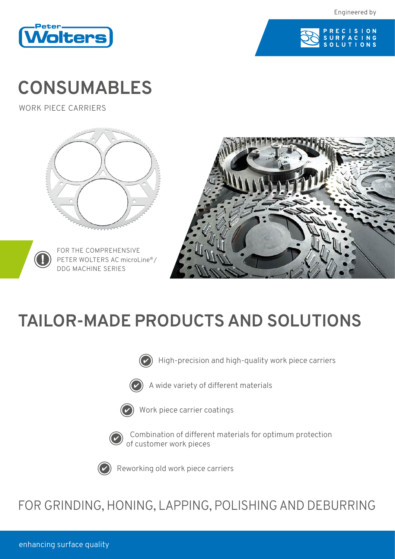



## **CONSUMABLES**

WORK PIECE CARRIERS





FOR THE COMPREHENSIVE PETER WOLTERS AC microLine®/ DDG MACHINE SERIES



# **TAILOR-MADE PRODUCTS AND SOLUTIONS**



High-precision and high-quality work piece carriers



A wide variety of different materials



Work piece carrier coatings



Combination of different materials for optimum protection of customer work pieces



Reworking old work piece carriers

## FOR GRINDING, HONING, LAPPING, POLISHING AND DEBURRING

enhancing surface quality